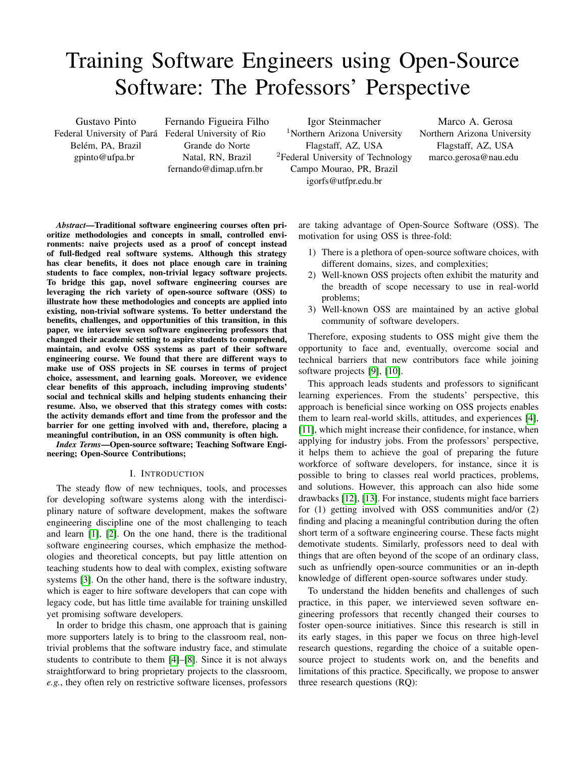# Training Software Engineers using Open-Source Software: The Professors' Perspective

Gustavo Pinto Federal University of Para´ Federal University of Rio Belém, PA, Brazil gpinto@ufpa.br

Fernando Figueira Filho Grande do Norte Natal, RN, Brazil fernando@dimap.ufrn.br

Igor Steinmacher <sup>1</sup>Northern Arizona University Flagstaff, AZ, USA <sup>2</sup>Federal University of Technology Campo Mourao, PR, Brazil igorfs@utfpr.edu.br

Marco A. Gerosa Northern Arizona University Flagstaff, AZ, USA marco.gerosa@nau.edu

*Abstract*—Traditional software engineering courses often prioritize methodologies and concepts in small, controlled environments: naive projects used as a proof of concept instead of full-fledged real software systems. Although this strategy has clear benefits, it does not place enough care in training students to face complex, non-trivial legacy software projects. To bridge this gap, novel software engineering courses are leveraging the rich variety of open-source software (OSS) to illustrate how these methodologies and concepts are applied into existing, non-trivial software systems. To better understand the benefits, challenges, and opportunities of this transition, in this paper, we interview seven software engineering professors that changed their academic setting to aspire students to comprehend, maintain, and evolve OSS systems as part of their software engineering course. We found that there are different ways to make use of OSS projects in SE courses in terms of project choice, assessment, and learning goals. Moreover, we evidence clear benefits of this approach, including improving students' social and technical skills and helping students enhancing their resume. Also, we observed that this strategy comes with costs: the activity demands effort and time from the professor and the barrier for one getting involved with and, therefore, placing a meaningful contribution, in an OSS community is often high.

*Index Terms*—Open-source software; Teaching Software Engineering; Open-Source Contributions;

## I. INTRODUCTION

<span id="page-0-0"></span>The steady flow of new techniques, tools, and processes for developing software systems along with the interdisciplinary nature of software development, makes the software engineering discipline one of the most challenging to teach and learn [\[1\]](#page-4-0), [\[2\]](#page-4-1). On the one hand, there is the traditional software engineering courses, which emphasize the methodologies and theoretical concepts, but pay little attention on teaching students how to deal with complex, existing software systems [\[3\]](#page-4-2). On the other hand, there is the software industry, which is eager to hire software developers that can cope with legacy code, but has little time available for training unskilled yet promising software developers.

In order to bridge this chasm, one approach that is gaining more supporters lately is to bring to the classroom real, nontrivial problems that the software industry face, and stimulate students to contribute to them [\[4\]](#page-4-3)–[\[8\]](#page-4-4). Since it is not always straightforward to bring proprietary projects to the classroom, *e.g.*, they often rely on restrictive software licenses, professors are taking advantage of Open-Source Software (OSS). The motivation for using OSS is three-fold:

- 1) There is a plethora of open-source software choices, with different domains, sizes, and complexities;
- 2) Well-known OSS projects often exhibit the maturity and the breadth of scope necessary to use in real-world problems;
- 3) Well-known OSS are maintained by an active global community of software developers.

Therefore, exposing students to OSS might give them the opportunity to face and, eventually, overcome social and technical barriers that new contributors face while joining software projects [\[9\]](#page-4-5), [\[10\]](#page-4-6).

This approach leads students and professors to significant learning experiences. From the students' perspective, this approach is beneficial since working on OSS projects enables them to learn real-world skills, attitudes, and experiences [\[4\]](#page-4-3), [\[11\]](#page-4-7), which might increase their confidence, for instance, when applying for industry jobs. From the professors' perspective, it helps them to achieve the goal of preparing the future workforce of software developers, for instance, since it is possible to bring to classes real world practices, problems, and solutions. However, this approach can also hide some drawbacks [\[12\]](#page-4-8), [\[13\]](#page-4-9). For instance, students might face barriers for (1) getting involved with OSS communities and/or (2) finding and placing a meaningful contribution during the often short term of a software engineering course. These facts might demotivate students. Similarly, professors need to deal with things that are often beyond of the scope of an ordinary class, such as unfriendly open-source communities or an in-depth knowledge of different open-source softwares under study.

To understand the hidden benefits and challenges of such practice, in this paper, we interviewed seven software engineering professors that recently changed their courses to foster open-source initiatives. Since this research is still in its early stages, in this paper we focus on three high-level research questions, regarding the choice of a suitable opensource project to students work on, and the benefits and limitations of this practice. Specifically, we propose to answer three research questions (RQ):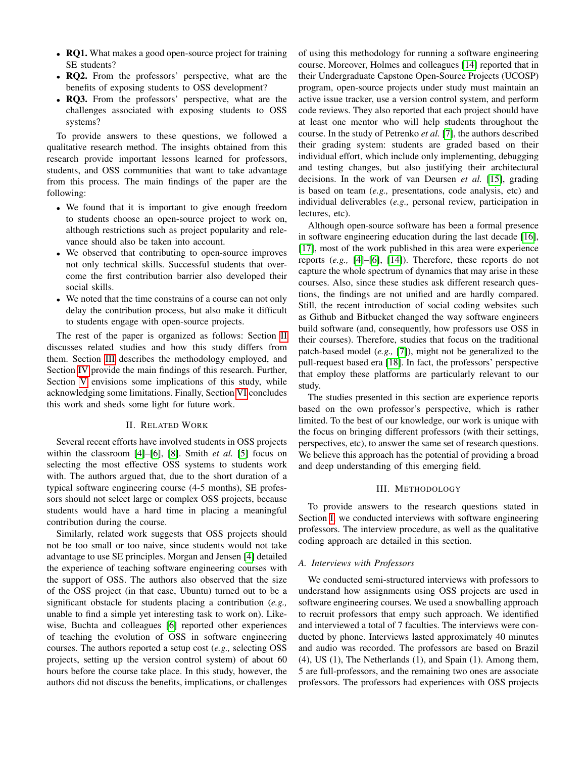- RQ1. What makes a good open-source project for training SE students?
- RQ2. From the professors' perspective, what are the benefits of exposing students to OSS development?
- RQ3. From the professors' perspective, what are the challenges associated with exposing students to OSS systems?

To provide answers to these questions, we followed a qualitative research method. The insights obtained from this research provide important lessons learned for professors, students, and OSS communities that want to take advantage from this process. The main findings of the paper are the following:

- We found that it is important to give enough freedom to students choose an open-source project to work on, although restrictions such as project popularity and relevance should also be taken into account.
- We observed that contributing to open-source improves not only technical skills. Successful students that overcome the first contribution barrier also developed their social skills.
- We noted that the time constrains of a course can not only delay the contribution process, but also make it difficult to students engage with open-source projects.

The rest of the paper is organized as follows: Section [II](#page-1-0) discusses related studies and how this study differs from them. Section [III](#page-1-1) describes the methodology employed, and Section [IV](#page-2-0) provide the main findings of this research. Further, Section [V](#page-3-0) envisions some implications of this study, while acknowledging some limitations. Finally, Section [VI](#page-4-10) concludes this work and sheds some light for future work.

## II. RELATED WORK

<span id="page-1-0"></span>Several recent efforts have involved students in OSS projects within the classroom [\[4\]](#page-4-3)–[\[6\]](#page-4-11), [\[8\]](#page-4-4). Smith *et al.* [\[5\]](#page-4-12) focus on selecting the most effective OSS systems to students work with. The authors argued that, due to the short duration of a typical software engineering course (4-5 months), SE professors should not select large or complex OSS projects, because students would have a hard time in placing a meaningful contribution during the course.

Similarly, related work suggests that OSS projects should not be too small or too naive, since students would not take advantage to use SE principles. Morgan and Jensen [\[4\]](#page-4-3) detailed the experience of teaching software engineering courses with the support of OSS. The authors also observed that the size of the OSS project (in that case, Ubuntu) turned out to be a significant obstacle for students placing a contribution (*e.g.,* unable to find a simple yet interesting task to work on). Likewise, Buchta and colleagues [\[6\]](#page-4-11) reported other experiences of teaching the evolution of OSS in software engineering courses. The authors reported a setup cost (*e.g.,* selecting OSS projects, setting up the version control system) of about 60 hours before the course take place. In this study, however, the authors did not discuss the benefits, implications, or challenges of using this methodology for running a software engineering course. Moreover, Holmes and colleagues [\[14\]](#page-4-13) reported that in their Undergraduate Capstone Open-Source Projects (UCOSP) program, open-source projects under study must maintain an active issue tracker, use a version control system, and perform code reviews. They also reported that each project should have at least one mentor who will help students throughout the course. In the study of Petrenko *et al.* [\[7\]](#page-4-14), the authors described their grading system: students are graded based on their individual effort, which include only implementing, debugging and testing changes, but also justifying their architectural decisions. In the work of van Deursen *et al.* [\[15\]](#page-4-15), grading is based on team (*e.g.,* presentations, code analysis, etc) and individual deliverables (*e.g.,* personal review, participation in lectures, etc).

Although open-source software has been a formal presence in software engineering education during the last decade [\[16\]](#page-4-16), [\[17\]](#page-4-17), most of the work published in this area were experience reports (*e.g.,* [\[4\]](#page-4-3)–[\[6\]](#page-4-11), [\[14\]](#page-4-13)). Therefore, these reports do not capture the whole spectrum of dynamics that may arise in these courses. Also, since these studies ask different research questions, the findings are not unified and are hardly compared. Still, the recent introduction of social coding websites such as Github and Bitbucket changed the way software engineers build software (and, consequently, how professors use OSS in their courses). Therefore, studies that focus on the traditional patch-based model (*e.g.,* [\[7\]](#page-4-14)), might not be generalized to the pull-request based era [\[18\]](#page-4-18). In fact, the professors' perspective that employ these platforms are particularly relevant to our study.

The studies presented in this section are experience reports based on the own professor's perspective, which is rather limited. To the best of our knowledge, our work is unique with the focus on bringing different professors (with their settings, perspectives, etc), to answer the same set of research questions. We believe this approach has the potential of providing a broad and deep understanding of this emerging field.

### III. METHODOLOGY

<span id="page-1-1"></span>To provide answers to the research questions stated in Section [I,](#page-0-0) we conducted interviews with software engineering professors. The interview procedure, as well as the qualitative coding approach are detailed in this section.

## *A. Interviews with Professors*

We conducted semi-structured interviews with professors to understand how assignments using OSS projects are used in software engineering courses. We used a snowballing approach to recruit professors that empy such approach. We identified and interviewed a total of 7 faculties. The interviews were conducted by phone. Interviews lasted approximately 40 minutes and audio was recorded. The professors are based on Brazil (4), US (1), The Netherlands (1), and Spain (1). Among them, 5 are full-professors, and the remaining two ones are associate professors. The professors had experiences with OSS projects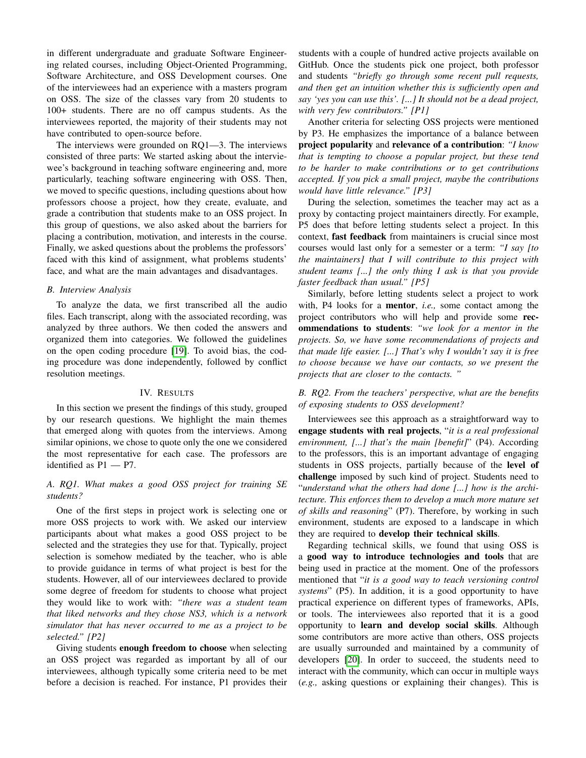in different undergraduate and graduate Software Engineering related courses, including Object-Oriented Programming, Software Architecture, and OSS Development courses. One of the interviewees had an experience with a masters program on OSS. The size of the classes vary from 20 students to 100+ students. There are no off campus students. As the interviewees reported, the majority of their students may not have contributed to open-source before.

The interviews were grounded on RQ1—3. The interviews consisted of three parts: We started asking about the interviewee's background in teaching software engineering and, more particularly, teaching software engineering with OSS. Then, we moved to specific questions, including questions about how professors choose a project, how they create, evaluate, and grade a contribution that students make to an OSS project. In this group of questions, we also asked about the barriers for placing a contribution, motivation, and interests in the course. Finally, we asked questions about the problems the professors' faced with this kind of assignment, what problems students' face, and what are the main advantages and disadvantages.

## *B. Interview Analysis*

To analyze the data, we first transcribed all the audio files. Each transcript, along with the associated recording, was analyzed by three authors. We then coded the answers and organized them into categories. We followed the guidelines on the open coding procedure [\[19\]](#page-4-19). To avoid bias, the coding procedure was done independently, followed by conflict resolution meetings.

## IV. RESULTS

<span id="page-2-0"></span>In this section we present the findings of this study, grouped by our research questions. We highlight the main themes that emerged along with quotes from the interviews. Among similar opinions, we chose to quote only the one we considered the most representative for each case. The professors are identified as P1 — P7.

## *A. RQ1. What makes a good OSS project for training SE students?*

One of the first steps in project work is selecting one or more OSS projects to work with. We asked our interview participants about what makes a good OSS project to be selected and the strategies they use for that. Typically, project selection is somehow mediated by the teacher, who is able to provide guidance in terms of what project is best for the students. However, all of our interviewees declared to provide some degree of freedom for students to choose what project they would like to work with: *"there was a student team that liked networks and they chose NS3, which is a network simulator that has never occurred to me as a project to be selected." [P2]*

Giving students enough freedom to choose when selecting an OSS project was regarded as important by all of our interviewees, although typically some criteria need to be met before a decision is reached. For instance, P1 provides their students with a couple of hundred active projects available on GitHub. Once the students pick one project, both professor and students *"briefly go through some recent pull requests, and then get an intuition whether this is sufficiently open and say 'yes you can use this'. [...] It should not be a dead project, with very few contributors." [P1]*

Another criteria for selecting OSS projects were mentioned by P3. He emphasizes the importance of a balance between project popularity and relevance of a contribution: *"I know that is tempting to choose a popular project, but these tend to be harder to make contributions or to get contributions accepted. If you pick a small project, maybe the contributions would have little relevance." [P3]*

During the selection, sometimes the teacher may act as a proxy by contacting project maintainers directly. For example, P5 does that before letting students select a project. In this context, fast feedback from maintainers is crucial since most courses would last only for a semester or a term: *"I say [to the maintainers] that I will contribute to this project with student teams [...] the only thing I ask is that you provide faster feedback than usual." [P5]*

Similarly, before letting students select a project to work with, P4 looks for a mentor, *i.e.,* some contact among the project contributors who will help and provide some recommendations to students: *"we look for a mentor in the projects. So, we have some recommendations of projects and that made life easier. [...] That's why I wouldn't say it is free to choose because we have our contacts, so we present the projects that are closer to the contacts. "*

## *B. RQ2. From the teachers' perspective, what are the benefits of exposing students to OSS development?*

Interviewees see this approach as a straightforward way to engage students with real projects, "*it is a real professional environment, [...] that's the main [benefit]*" (P4). According to the professors, this is an important advantage of engaging students in OSS projects, partially because of the level of challenge imposed by such kind of project. Students need to "*understand what the others had done [...] how is the architecture. This enforces them to develop a much more mature set of skills and reasoning*" (P7). Therefore, by working in such environment, students are exposed to a landscape in which they are required to develop their technical skills.

Regarding technical skills, we found that using OSS is a good way to introduce technologies and tools that are being used in practice at the moment. One of the professors mentioned that "*it is a good way to teach versioning control systems*" (P5). In addition, it is a good opportunity to have practical experience on different types of frameworks, APIs, or tools. The interviewees also reported that it is a good opportunity to learn and develop social skills. Although some contributors are more active than others, OSS projects are usually surrounded and maintained by a community of developers [\[20\]](#page-4-20). In order to succeed, the students need to interact with the community, which can occur in multiple ways (*e.g.,* asking questions or explaining their changes). This is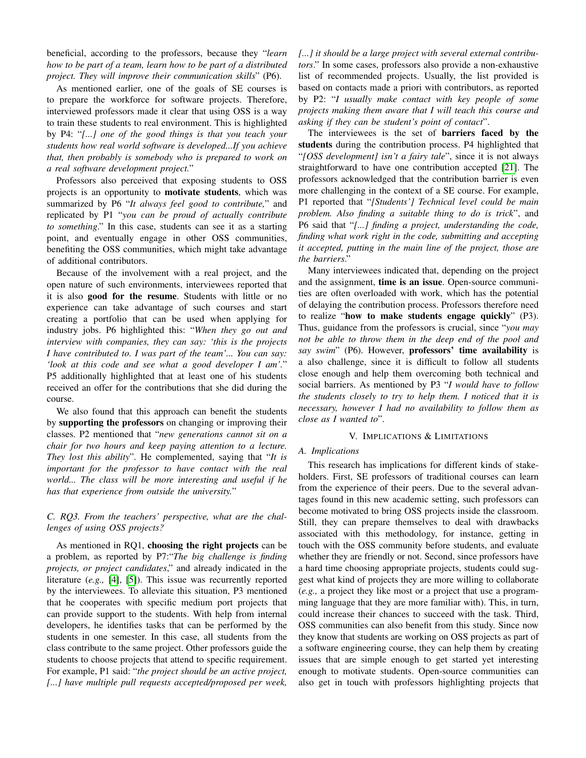beneficial, according to the professors, because they "*learn how to be part of a team, learn how to be part of a distributed project. They will improve their communication skills*" (P6).

As mentioned earlier, one of the goals of SE courses is to prepare the workforce for software projects. Therefore, interviewed professors made it clear that using OSS is a way to train these students to real environment. This is highlighted by P4: "*[...] one of the good things is that you teach your students how real world software is developed...If you achieve that, then probably is somebody who is prepared to work on a real software development project.*"

Professors also perceived that exposing students to OSS projects is an opportunity to motivate students, which was summarized by P6 "*It always feel good to contribute,*" and replicated by P1 "*you can be proud of actually contribute to something*." In this case, students can see it as a starting point, and eventually engage in other OSS communities, benefiting the OSS communities, which might take advantage of additional contributors.

Because of the involvement with a real project, and the open nature of such environments, interviewees reported that it is also good for the resume. Students with little or no experience can take advantage of such courses and start creating a portfolio that can be used when applying for industry jobs. P6 highlighted this: "*When they go out and interview with companies, they can say: 'this is the projects I have contributed to. I was part of the team'... You can say: 'look at this code and see what a good developer I am'.*" P5 additionally highlighted that at least one of his students received an offer for the contributions that she did during the course.

We also found that this approach can benefit the students by supporting the professors on changing or improving their classes. P2 mentioned that "*new generations cannot sit on a chair for two hours and keep paying attention to a lecture. They lost this ability*". He complemented, saying that "*It is important for the professor to have contact with the real world... The class will be more interesting and useful if he has that experience from outside the university.*"

## *C. RQ3. From the teachers' perspective, what are the challenges of using OSS projects?*

As mentioned in RQ1, choosing the right projects can be a problem, as reported by P7:"*The big challenge is finding projects, or project candidates*," and already indicated in the literature (*e.g.,* [\[4\]](#page-4-3), [\[5\]](#page-4-12)). This issue was recurrently reported by the interviewees. To alleviate this situation, P3 mentioned that he cooperates with specific medium port projects that can provide support to the students. With help from internal developers, he identifies tasks that can be performed by the students in one semester. In this case, all students from the class contribute to the same project. Other professors guide the students to choose projects that attend to specific requirement. For example, P1 said: "*the project should be an active project, [...] have multiple pull requests accepted/proposed per week,*

*[...] it should be a large project with several external contributors*." In some cases, professors also provide a non-exhaustive list of recommended projects. Usually, the list provided is based on contacts made a priori with contributors, as reported by P2: "*I usually make contact with key people of some projects making them aware that I will teach this course and asking if they can be student's point of contact*".

The interviewees is the set of barriers faced by the students during the contribution process. P4 highlighted that "*[OSS development] isn't a fairy tale*", since it is not always straightforward to have one contribution accepted [\[21\]](#page-4-21). The professors acknowledged that the contribution barrier is even more challenging in the context of a SE course. For example, P1 reported that "*[Students'] Technical level could be main problem. Also finding a suitable thing to do is trick*", and P6 said that "*[...] finding a project, understanding the code, finding what work right in the code, submitting and accepting it accepted, putting in the main line of the project, those are the barriers*."

Many interviewees indicated that, depending on the project and the assignment, **time is an issue**. Open-source communities are often overloaded with work, which has the potential of delaying the contribution process. Professors therefore need to realize "how to make students engage quickly" (P3). Thus, guidance from the professors is crucial, since "*you may not be able to throw them in the deep end of the pool and say swim*" (P6). However, professors' time availability is a also challenge, since it is difficult to follow all students close enough and help them overcoming both technical and social barriers. As mentioned by P3 "*I would have to follow the students closely to try to help them. I noticed that it is necessary, however I had no availability to follow them as close as I wanted to*".

## V. IMPLICATIONS & LIMITATIONS

## <span id="page-3-0"></span>*A. Implications*

This research has implications for different kinds of stakeholders. First, SE professors of traditional courses can learn from the experience of their peers. Due to the several advantages found in this new academic setting, such professors can become motivated to bring OSS projects inside the classroom. Still, they can prepare themselves to deal with drawbacks associated with this methodology, for instance, getting in touch with the OSS community before students, and evaluate whether they are friendly or not. Second, since professors have a hard time choosing appropriate projects, students could suggest what kind of projects they are more willing to collaborate (*e.g.,* a project they like most or a project that use a programming language that they are more familiar with). This, in turn, could increase their chances to succeed with the task. Third, OSS communities can also benefit from this study. Since now they know that students are working on OSS projects as part of a software engineering course, they can help them by creating issues that are simple enough to get started yet interesting enough to motivate students. Open-source communities can also get in touch with professors highlighting projects that